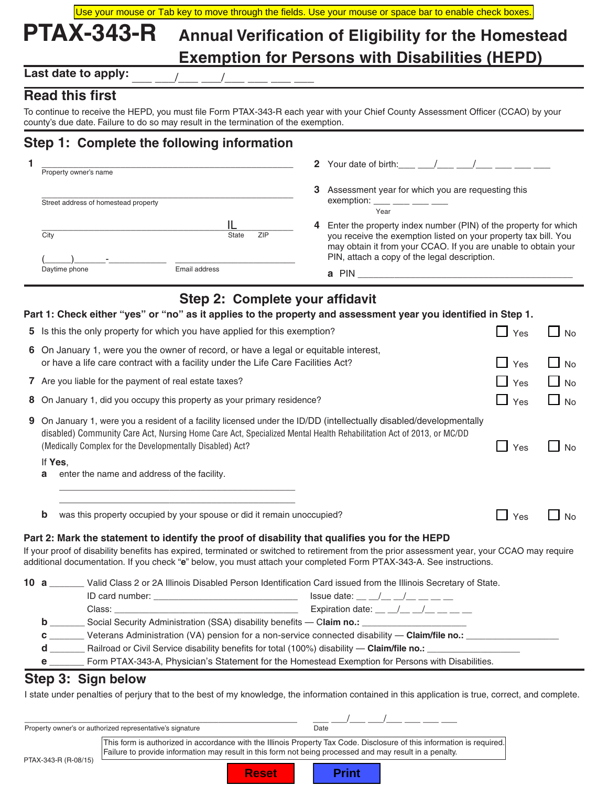| Use your mouse or Tab key to move through the fields. Use your mouse or space bar to enable check boxes. |                                                       |  |
|----------------------------------------------------------------------------------------------------------|-------------------------------------------------------|--|
| <b>PTAX-343-R</b>                                                                                        | Annual Verification of Eligibility for the Homestead  |  |
|                                                                                                          | <b>Exemption for Persons with Disabilities (HEPD)</b> |  |

Last date to apply:

### **Read this first**

To continue to receive the HEPD, you must file Form PTAX-343-R each year with your Chief County Assessment Officer (CCAO) by your county's due date. Failure to do so may result in the termination of the exemption.

## **Step 1: Complete the following information**

| Property owner's name                |               | 2 Your date of birth: /                                                                                                                                                                                                                                   |
|--------------------------------------|---------------|-----------------------------------------------------------------------------------------------------------------------------------------------------------------------------------------------------------------------------------------------------------|
| Street address of homestead property |               | Assessment year for which you are requesting this<br>3<br>exemption: $\frac{1}{1}$ $\frac{1}{1}$ $\frac{1}{1}$ $\frac{1}{1}$ $\frac{1}{1}$ $\frac{1}{1}$ $\frac{1}{1}$<br>Year                                                                            |
| City                                 | ZIP<br>State  | Enter the property index number (PIN) of the property for which<br>4<br>you receive the exemption listed on your property tax bill. You<br>may obtain it from your CCAO. If you are unable to obtain your<br>PIN, attach a copy of the legal description. |
| Daytime phone                        | Email address | <b>PIN</b><br>a                                                                                                                                                                                                                                           |

# **Step 2: Complete your affidavit**

|   | Part 1: Check either "yes" or "no" as it applies to the property and assessment year you identified in Step 1.                                                                                                                                                                                                                                                                                                                                                                                                                                                                                                                                 |            |                           |
|---|------------------------------------------------------------------------------------------------------------------------------------------------------------------------------------------------------------------------------------------------------------------------------------------------------------------------------------------------------------------------------------------------------------------------------------------------------------------------------------------------------------------------------------------------------------------------------------------------------------------------------------------------|------------|---------------------------|
|   | 5 Is this the only property for which you have applied for this exemption?                                                                                                                                                                                                                                                                                                                                                                                                                                                                                                                                                                     | $\Box$ Yes | $\Box$ No                 |
|   | 6 On January 1, were you the owner of record, or have a legal or equitable interest,<br>or have a life care contract with a facility under the Life Care Facilities Act?                                                                                                                                                                                                                                                                                                                                                                                                                                                                       | $\Box$ Yes | $\Box$ No                 |
|   | 7 Are you liable for the payment of real estate taxes?                                                                                                                                                                                                                                                                                                                                                                                                                                                                                                                                                                                         | $\Box$ Yes | $\Box$ No                 |
| 8 | On January 1, did you occupy this property as your primary residence?                                                                                                                                                                                                                                                                                                                                                                                                                                                                                                                                                                          | $\Box$ Yes | $\Box$ No                 |
| 9 | On January 1, were you a resident of a facility licensed under the ID/DD (intellectually disabled/developmentally<br>disabled) Community Care Act, Nursing Home Care Act, Specialized Mental Health Rehabilitation Act of 2013, or MC/DD<br>(Medically Complex for the Developmentally Disabled) Act?<br>If Yes.<br>enter the name and address of the facility.<br>a                                                                                                                                                                                                                                                                           | $\Box$ Yes | $\mathsf{L}$<br><b>No</b> |
|   | <u> 1989 - Johann John Stone, markin amerikan bisa di sebagai kecamatan dalam kecamatan dalam kecamatan dalam ke</u><br>was this property occupied by your spouse or did it remain unoccupied?<br>b<br>Part 2: Mark the statement to identify the proof of disability that qualifies you for the HEPD<br>If your proof of disability benefits has expired, terminated or switched to retirement from the prior assessment year, your CCAO may require<br>additional documentation. If you check "e" below, you must attach your completed Form PTAX-343-A. See instructions.                                                                   | $\Box$ Yes | <b>No</b>                 |
|   | 10 a _______ Valid Class 2 or 2A Illinois Disabled Person Identification Card issued from the Illinois Secretary of State.<br><b>b</b> __________ Social Security Administration (SSA) disability benefits — Claim no.: ___________________________<br>C _________ Veterans Administration (VA) pension for a non-service connected disability - Claim/file no.: __________________<br>d ___________ Railroad or Civil Service disability benefits for total (100%) disability — Claim/file no.: _____________________________<br>e ________ Form PTAX-343-A, Physician's Statement for the Homestead Exemption for Persons with Disabilities. |            |                           |
|   | Step 3: Sign below<br>I state under penalties of perjury that to the best of my knowledge, the information contained in this application is true, correct, and complete.                                                                                                                                                                                                                                                                                                                                                                                                                                                                       |            |                           |

Property owner's or authorized representative's signature **Date** Date PTAX-343-R (R-08/15) This form is authorized in accordance with the Illinois Property Tax Code*.* Disclosure of this information is required. Failure to provide information may result in this form not being processed and may result in a penalty.

**Reset | | Print** 

\_\_\_\_\_\_\_\_\_\_\_\_\_\_\_\_\_\_\_\_\_\_\_\_\_\_\_\_\_\_\_\_\_\_\_\_\_\_\_\_\_\_\_\_\_\_\_\_\_\_\_\_ \_\_\_ \_\_\_/\_\_\_ \_\_\_/\_\_\_ \_\_\_ \_\_\_ \_\_\_